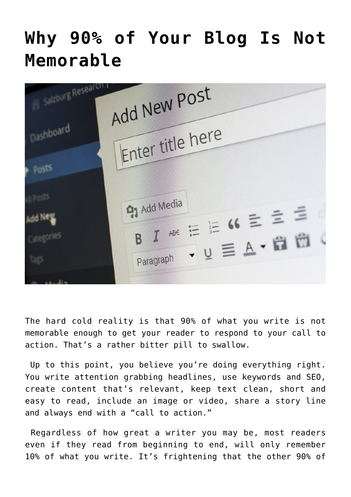## **[Why 90% of Your Blog Is Not](http://www.moneywomenandbrains.com/why-90-of-your-blog-is-not-memorable/) [Memorable](http://www.moneywomenandbrains.com/why-90-of-your-blog-is-not-memorable/)**

| Sulzburg Researc<br>Dashboard<br>Bosis | Add New Post<br>Enter title here                                                                                      |
|----------------------------------------|-----------------------------------------------------------------------------------------------------------------------|
| <b>MARITIM</b>                         | <b>47 Add Media</b><br>B $I$ $ABC$ $\equiv$ $\equiv$ 66 $\equiv$ $\equiv$ $\equiv$ $\equiv$<br>· U 三A·白田<br>Paragraph |

The hard cold reality is that 90% of what you write is not memorable enough to get your reader to respond to your call to action. That's a rather bitter pill to swallow.

Up to this point, you believe you're doing everything right. You write attention grabbing headlines, use keywords and SEO, create content that's relevant, keep text clean, short and easy to read, include an image or video, share a story line and always end with a "call to action."

Regardless of how great a writer you may be, most readers even if they read from beginning to end, will only remember 10% of what you write. It's frightening that the other 90% of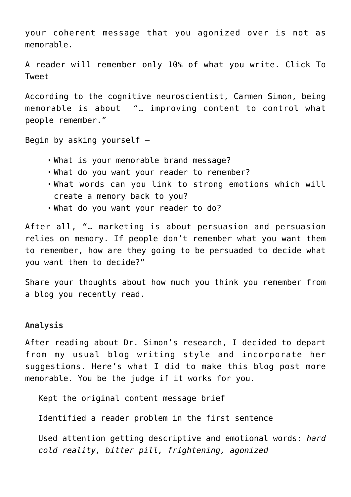your coherent message that you agonized over is not as memorable.

[A reader will remember only 10% of what you write. Click To](https://twitter.com/intent/tweet?url=http%3A%2F%2Fwww.moneywomenandbrains.com%2F%3Fp%3D7972&text=A%20reader%20will%20remember%20only%2010%25%20of%20what%20you%20write.&via=https://twitter.com/JoyceHansen&related=https://twitter.com/JoyceHansen) [Tweet](https://twitter.com/intent/tweet?url=http%3A%2F%2Fwww.moneywomenandbrains.com%2F%3Fp%3D7972&text=A%20reader%20will%20remember%20only%2010%25%20of%20what%20you%20write.&via=https://twitter.com/JoyceHansen&related=https://twitter.com/JoyceHansen)

According to the cognitive neuroscientist, Carmen Simon, being memorable is about "… improving content to control what people remember."

Begin by asking yourself –

- What is your memorable brand message?
- What do you want your reader to remember?
- What words can you link to strong emotions which will create a memory back to you?
- What do you want your reader to do?

After all, "… marketing is about persuasion and persuasion relies on memory. If people don't remember what you want them to remember, how are they going to be persuaded to decide what you want them to decide?"

Share your thoughts about how much you think you remember from a blog you recently read.

## **Analysis**

After reading about Dr. Simon's research, I decided to depart from my usual blog writing style and incorporate her suggestions. Here's what I did to make this blog post more memorable. You be the judge if it works for you.

Kept the original content message brief

Identified a reader problem in the first sentence

Used attention getting descriptive and emotional words: *hard cold reality, bitter pill, frightening, agonized*